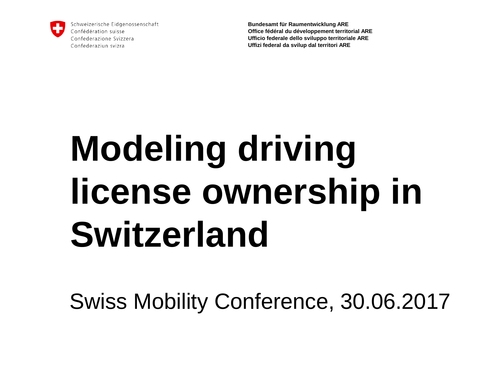

Schweizerische Eidgenossenschaft Confédération suisse Confederazione Svizzera Confederaziun svizra

**Bundesamt für Raumentwicklung ARE Office fédéral du développement territorial ARE Ufficio federale dello sviluppo territoriale ARE Uffizi federal da svilup dal territori ARE**

## **Modeling driving license ownership in Switzerland**

Swiss Mobility Conference, 30.06.2017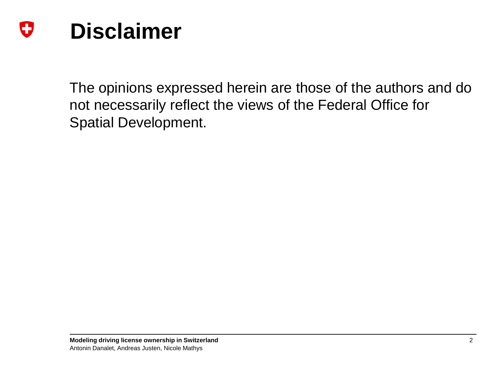#### IJ **Disclaimer**

The opinions expressed herein are those of the authors and do not necessarily reflect the views of the Federal Office for Spatial Development.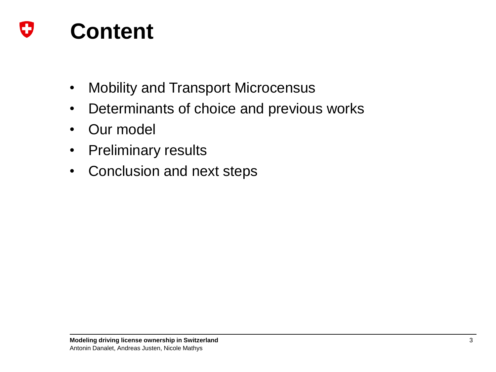

- Mobility and Transport Microcensus
- Determinants of choice and previous works
- Our model
- Preliminary results
- Conclusion and next steps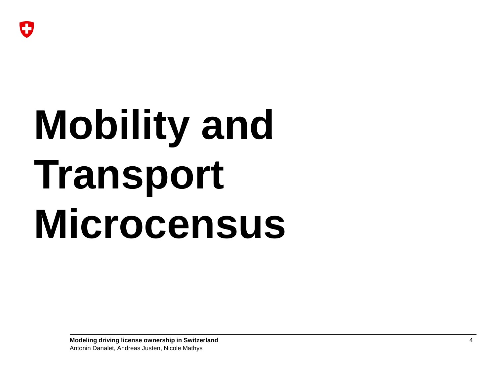

# **Mobility and Transport Microcensus**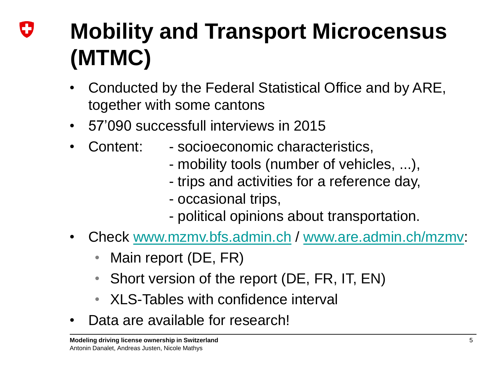## IJ **Mobility and Transport Microcensus (MTMC)**

- Conducted by the Federal Statistical Office and by ARE, together with some cantons
- 57'090 successfull interviews in 2015
	- Content: socioeconomic characteristics,
		- mobility tools (number of vehicles, ...),
		- trips and activities for a reference day,
		- occasional trips,
		- political opinions about transportation.
- Check [www.mzmv.bfs.admin.ch](http://www.mzmv.bfs.admin.ch/) / [www.are.admin.ch/mzmv:](http://www.are.admin.ch/mzmv)
	- Main report (DE, FR)
	- Short version of the report (DE, FR, IT, EN)
	- XI S-Tables with confidence interval
- Data are available for research!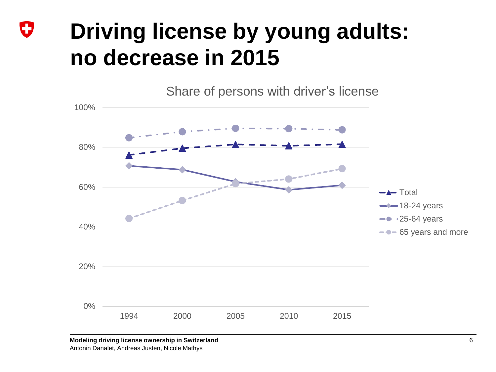## O **Driving license by young adults: no decrease in 2015**

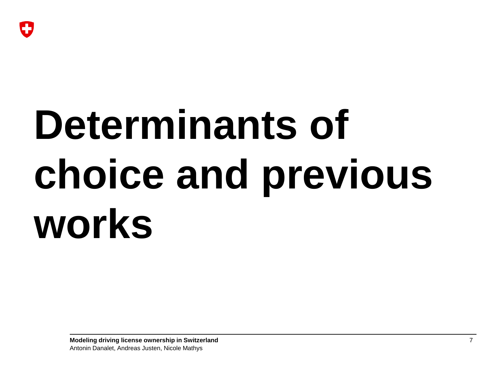

# **Determinants of choice and previous works**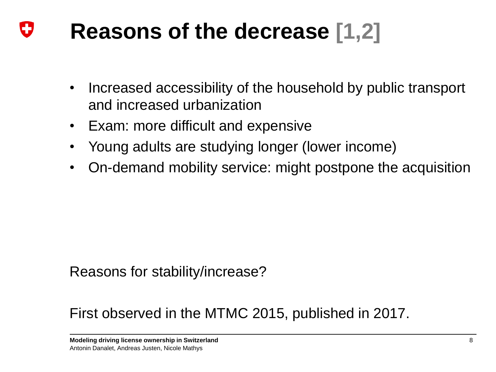### IJ **Reasons of the decrease [1,2]**

- Increased accessibility of the household by public transport and increased urbanization
- Exam: more difficult and expensive
- Young adults are studying longer (lower income)
- On-demand mobility service: might postpone the acquisition

### Reasons for stability/increase?

## First observed in the MTMC 2015, published in 2017.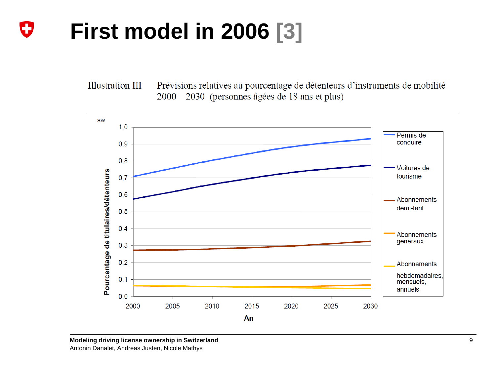### O **First model in 2006 [3]**

Prévisions relatives au pourcentage de détenteurs d'instruments de mobilité **Illustration III**  $2000 - 2030$  (personnes âgées de 18 ans et plus)

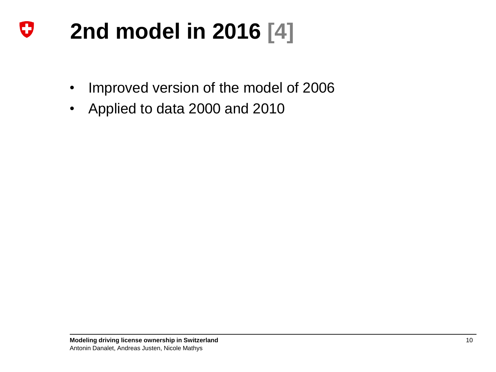### U **2nd model in 2016 [4]**

- Improved version of the model of 2006
- Applied to data 2000 and 2010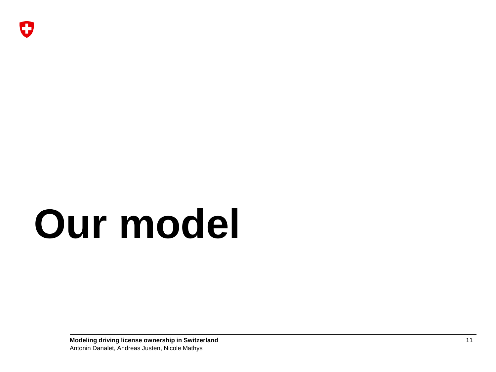# **Our model**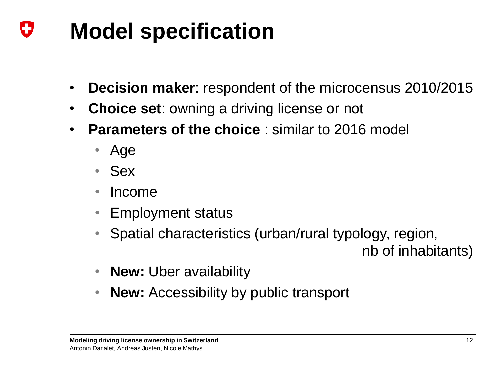### IJ **Model specification**

- **Decision maker**: respondent of the microcensus 2010/2015
- **Choice set:** owning a driving license or not
- **Parameters of the choice**: similar to 2016 model
	- Age
	- Sex
	- Income
	- Employment status
	- Spatial characteristics (urban/rural typology, region,

nb of inhabitants)

- **New:** Uber availability
- **New:** Accessibility by public transport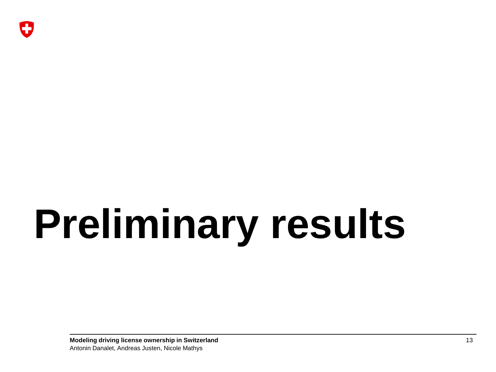# **Preliminary results**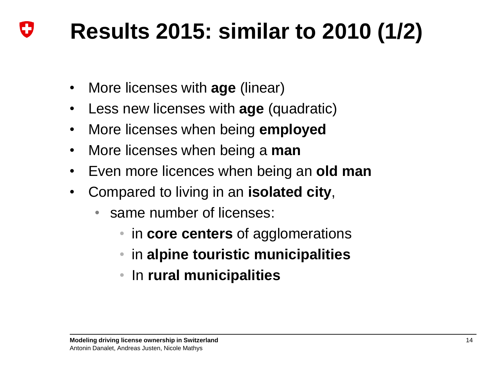### IJ **Results 2015: similar to 2010 (1/2)**

- More licenses with **age** (linear)
- Less new licenses with **age** (quadratic)
- More licenses when being **employed**
- More licenses when being a **man**
- Even more licences when being an **old man**
- Compared to living in an **isolated city**,
	- same number of licenses:
		- in **core centers** of agglomerations
		- in **alpine touristic municipalities**
		- In **rural municipalities**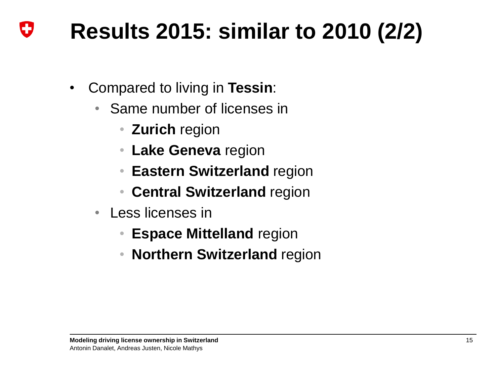### IJ **Results 2015: similar to 2010 (2/2)**

- Compared to living in **Tessin**:
	- Same number of licenses in
		- **Zurich** region
		- **Lake Geneva** region
		- **Eastern Switzerland** region
		- **Central Switzerland** region
	- Less licenses in
		- **Espace Mittelland** region
		- **Northern Switzerland** region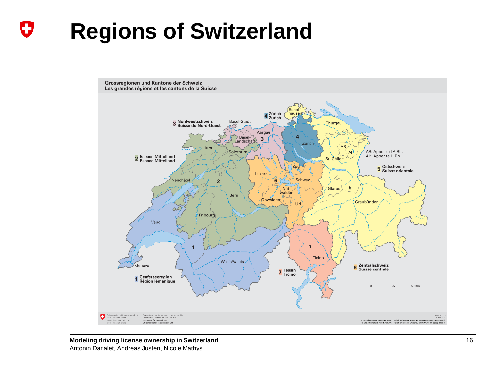### U **Regions of Switzerland**

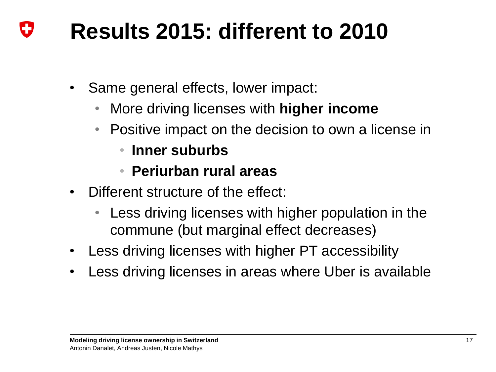### IJ **Results 2015: different to 2010**

- Same general effects, lower impact:
	- More driving licenses with **higher income**
	- Positive impact on the decision to own a license in
		- **Inner suburbs**
		- **Periurban rural areas**
- Different structure of the effect:
	- Less driving licenses with higher population in the commune (but marginal effect decreases)
- Less driving licenses with higher PT accessibility
- Less driving licenses in areas where Uber is available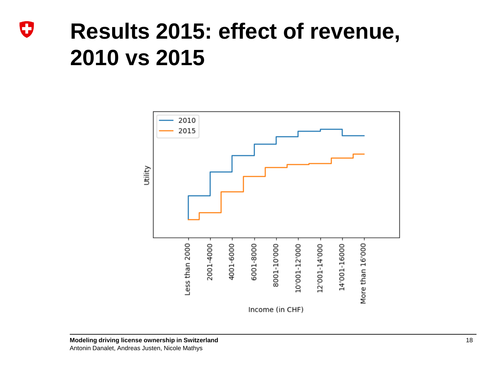## O **Results 2015: effect of revenue, 2010 vs 2015**

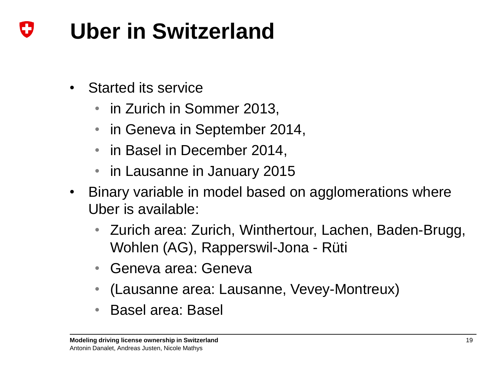### **Uber in Switzerland** IJ

- Started its service
	- in Zurich in Sommer 2013,
	- in Geneva in September 2014,
	- in Basel in December 2014,
	- in Lausanne in January 2015
- Binary variable in model based on agglomerations where Uber is available:
	- Zurich area: Zurich, Winthertour, Lachen, Baden-Brugg, Wohlen (AG), Rapperswil-Jona - Rüti
	- Geneva area: Geneva
	- (Lausanne area: Lausanne, Vevey-Montreux)
	- Basel area: Basel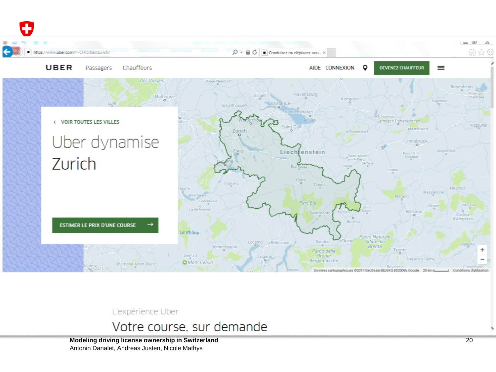

L'expérience Uber

Votre course, sur demande

**Modeling driving license ownership in Switzerland** 20 Antonin Danalet, Andreas Justen, Nicole Mathys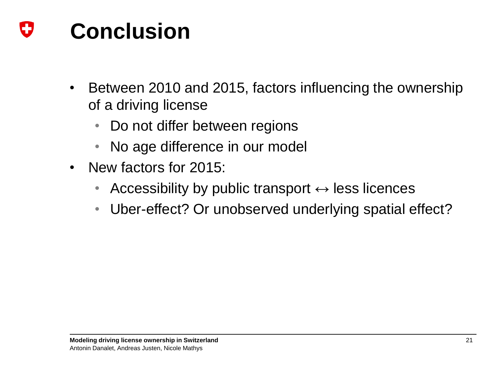### IJ **Conclusion**

- Between 2010 and 2015, factors influencing the ownership of a driving license
	- Do not differ between regions
	- No age difference in our model
- New factors for 2015:
	- Accessibility by public transport  $\leftrightarrow$  less licences
	- Uber-effect? Or unobserved underlying spatial effect?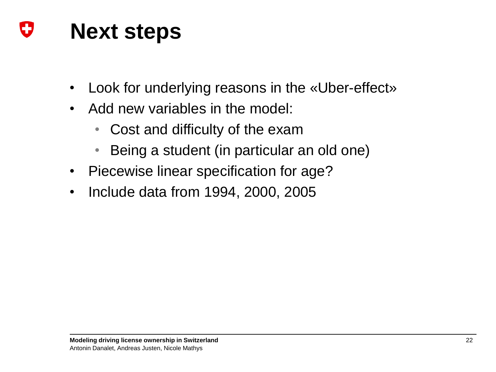### U **Next steps**

- Look for underlying reasons in the «Uber-effect»
- Add new variables in the model:
	- Cost and difficulty of the exam
	- Being a student (in particular an old one)
- Piecewise linear specification for age?
- Include data from 1994, 2000, 2005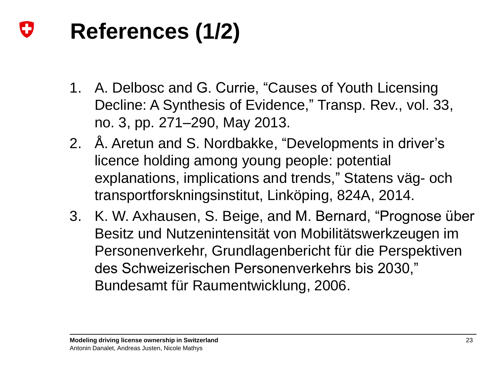### Đ **References (1/2)**

- 1. A. Delbosc and G. Currie, "Causes of Youth Licensing Decline: A Synthesis of Evidence," Transp. Rev., vol. 33, no. 3, pp. 271–290, May 2013.
- 2. Å. Aretun and S. Nordbakke, "Developments in driver's licence holding among young people: potential explanations, implications and trends," Statens väg- och transportforskningsinstitut, Linköping, 824A, 2014.
- 3. K. W. Axhausen, S. Beige, and M. Bernard, "Prognose über Besitz und Nutzenintensität von Mobilitätswerkzeugen im Personenverkehr, Grundlagenbericht für die Perspektiven des Schweizerischen Personenverkehrs bis 2030," Bundesamt für Raumentwicklung, 2006.